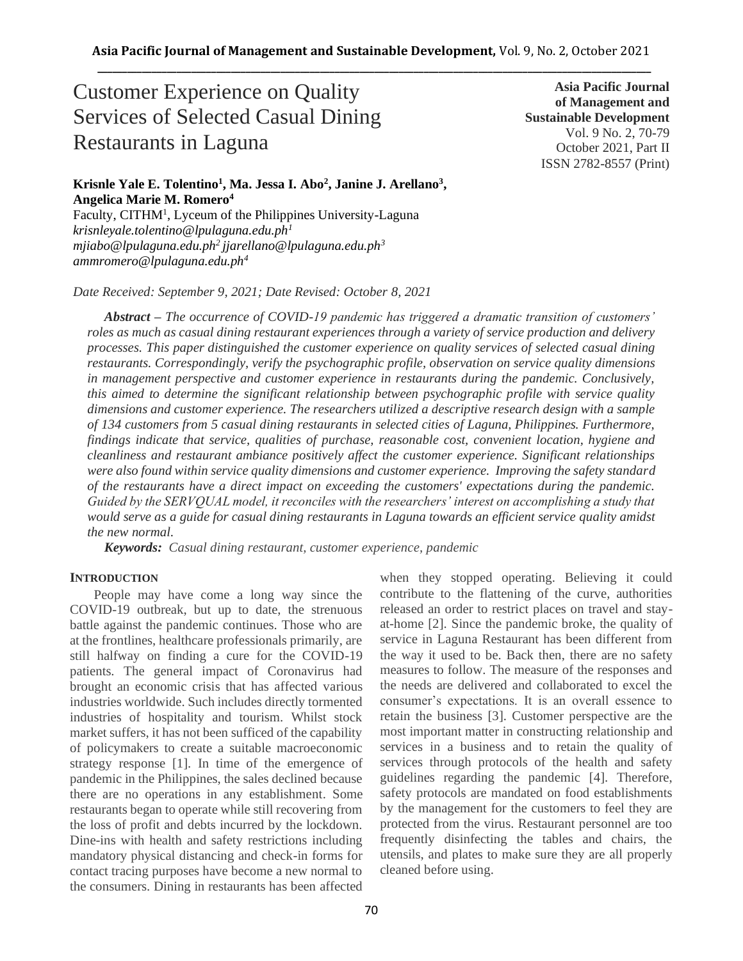# Customer Experience on Quality Services of Selected Casual Dining Restaurants in Laguna

**Asia Pacific Journal of Management and Sustainable Development**  Vol. 9 No. 2, 70-79 October 2021, Part II ISSN 2782-8557 (Print)

# **Krisnle Yale E. Tolentino<sup>1</sup> , Ma. Jessa I. Abo<sup>2</sup> , Janine J. Arellano<sup>3</sup> , Angelica Marie M. Romero<sup>4</sup>**

Faculty, CITHM<sup>1</sup>, Lyceum of the Philippines University-Laguna *krisnleyale.tolentino@lpulaguna.edu.ph<sup>1</sup> mjiabo@lpulaguna.edu.ph<sup>2</sup> jjarellano@lpulaguna.edu.ph<sup>3</sup> ammromero@lpulaguna.edu.ph<sup>4</sup>*

*Date Received: September 9, 2021; Date Revised: October 8, 2021*

*Abstract – The occurrence of COVID-19 pandemic has triggered a dramatic transition of customers' roles as much as casual dining restaurant experiences through a variety of service production and delivery processes. This paper distinguished the customer experience on quality services of selected casual dining restaurants. Correspondingly, verify the psychographic profile, observation on service quality dimensions in management perspective and customer experience in restaurants during the pandemic. Conclusively, this aimed to determine the significant relationship between psychographic profile with service quality dimensions and customer experience. The researchers utilized a descriptive research design with a sample of 134 customers from 5 casual dining restaurants in selected cities of Laguna, Philippines. Furthermore, findings indicate that service, qualities of purchase, reasonable cost, convenient location, hygiene and cleanliness and restaurant ambiance positively affect the customer experience. Significant relationships were also found within service quality dimensions and customer experience. Improving the safety standard of the restaurants have a direct impact on exceeding the customers' expectations during the pandemic. Guided by the SERVQUAL model, it reconciles with the researchers' interest on accomplishing a study that would serve as a guide for casual dining restaurants in Laguna towards an efficient service quality amidst the new normal.*

*Keywords: Casual dining restaurant, customer experience, pandemic*

## **INTRODUCTION**

 People may have come a long way since the COVID-19 outbreak, but up to date, the strenuous battle against the pandemic continues. Those who are at the frontlines, healthcare professionals primarily, are still halfway on finding a cure for the COVID-19 patients. The general impact of Coronavirus had brought an economic crisis that has affected various industries worldwide. Such includes directly tormented industries of hospitality and tourism. Whilst stock market suffers, it has not been sufficed of the capability of policymakers to create a suitable macroeconomic strategy response [1]. In time of the emergence of pandemic in the Philippines, the sales declined because there are no operations in any establishment. Some restaurants began to operate while still recovering from the loss of profit and debts incurred by the lockdown. Dine-ins with health and safety restrictions including mandatory physical distancing and check-in forms for contact tracing purposes have become a new normal to the consumers. Dining in restaurants has been affected when they stopped operating. Believing it could contribute to the flattening of the curve, authorities released an order to restrict places on travel and stayat-home [2]. Since the pandemic broke, the quality of service in Laguna Restaurant has been different from the way it used to be. Back then, there are no safety measures to follow. The measure of the responses and the needs are delivered and collaborated to excel the consumer's expectations. It is an overall essence to retain the business [3]. Customer perspective are the most important matter in constructing relationship and services in a business and to retain the quality of services through protocols of the health and safety guidelines regarding the pandemic [4]. Therefore, safety protocols are mandated on food establishments by the management for the customers to feel they are protected from the virus. Restaurant personnel are too frequently disinfecting the tables and chairs, the utensils, and plates to make sure they are all properly cleaned before using.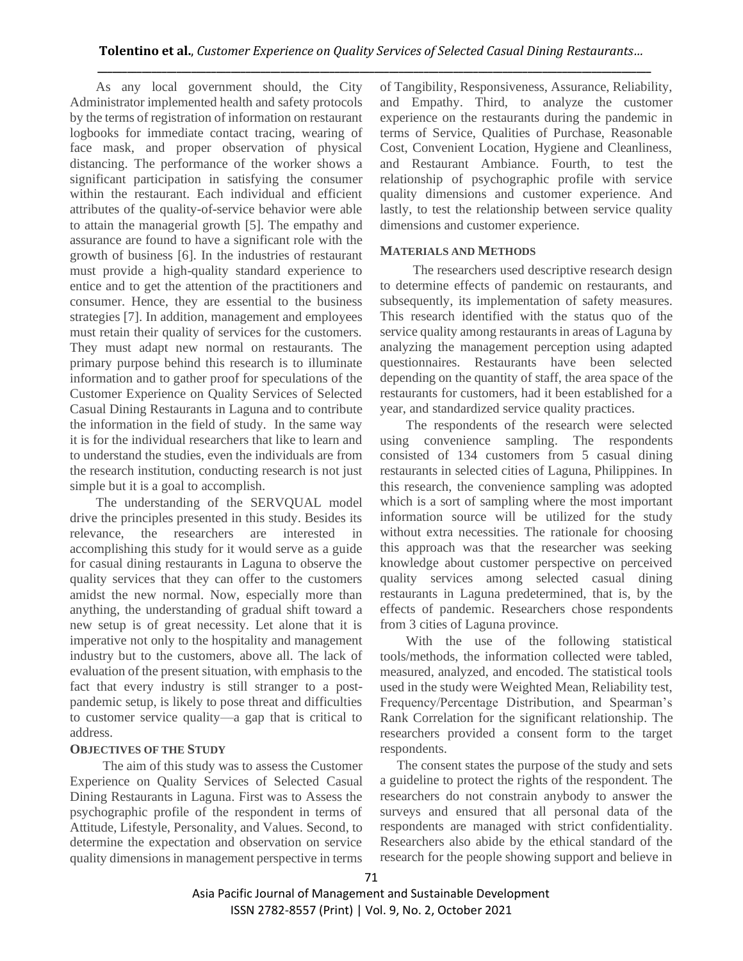As any local government should, the City Administrator implemented health and safety protocols by the terms of registration of information on restaurant logbooks for immediate contact tracing, wearing of face mask, and proper observation of physical distancing. The performance of the worker shows a significant participation in satisfying the consumer within the restaurant. Each individual and efficient attributes of the quality-of-service behavior were able to attain the managerial growth [5]. The empathy and assurance are found to have a significant role with the growth of business [6]. In the industries of restaurant must provide a high-quality standard experience to entice and to get the attention of the practitioners and consumer. Hence, they are essential to the business strategies [7]. In addition, management and employees must retain their quality of services for the customers. They must adapt new normal on restaurants. The primary purpose behind this research is to illuminate information and to gather proof for speculations of the Customer Experience on Quality Services of Selected Casual Dining Restaurants in Laguna and to contribute the information in the field of study. In the same way it is for the individual researchers that like to learn and to understand the studies, even the individuals are from the research institution, conducting research is not just simple but it is a goal to accomplish.

The understanding of the SERVQUAL model drive the principles presented in this study. Besides its relevance, the researchers are interested in accomplishing this study for it would serve as a guide for casual dining restaurants in Laguna to observe the quality services that they can offer to the customers amidst the new normal. Now, especially more than anything, the understanding of gradual shift toward a new setup is of great necessity. Let alone that it is imperative not only to the hospitality and management industry but to the customers, above all. The lack of evaluation of the present situation, with emphasis to the fact that every industry is still stranger to a postpandemic setup, is likely to pose threat and difficulties to customer service quality—a gap that is critical to address.

## **OBJECTIVES OF THE STUDY**

 The aim of this study was to assess the Customer Experience on Quality Services of Selected Casual Dining Restaurants in Laguna. First was to Assess the psychographic profile of the respondent in terms of Attitude, Lifestyle, Personality, and Values. Second, to determine the expectation and observation on service quality dimensions in management perspective in terms of Tangibility, Responsiveness, Assurance, Reliability, and Empathy. Third, to analyze the customer experience on the restaurants during the pandemic in terms of Service, Qualities of Purchase, Reasonable Cost, Convenient Location, Hygiene and Cleanliness, and Restaurant Ambiance. Fourth, to test the relationship of psychographic profile with service quality dimensions and customer experience. And lastly, to test the relationship between service quality dimensions and customer experience.

## **MATERIALS AND METHODS**

 The researchers used descriptive research design to determine effects of pandemic on restaurants, and subsequently, its implementation of safety measures. This research identified with the status quo of the service quality among restaurants in areas of Laguna by analyzing the management perception using adapted questionnaires. Restaurants have been selected depending on the quantity of staff, the area space of the restaurants for customers, had it been established for a year, and standardized service quality practices.

The respondents of the research were selected using convenience sampling. The respondents consisted of 134 customers from 5 casual dining restaurants in selected cities of Laguna, Philippines. In this research, the convenience sampling was adopted which is a sort of sampling where the most important information source will be utilized for the study without extra necessities. The rationale for choosing this approach was that the researcher was seeking knowledge about customer perspective on perceived quality services among selected casual dining restaurants in Laguna predetermined, that is, by the effects of pandemic. Researchers chose respondents from 3 cities of Laguna province.

With the use of the following statistical tools/methods, the information collected were tabled, measured, analyzed, and encoded. The statistical tools used in the study were Weighted Mean, Reliability test, Frequency/Percentage Distribution, and Spearman's Rank Correlation for the significant relationship. The researchers provided a consent form to the target respondents.

 The consent states the purpose of the study and sets a guideline to protect the rights of the respondent. The researchers do not constrain anybody to answer the surveys and ensured that all personal data of the respondents are managed with strict confidentiality. Researchers also abide by the ethical standard of the research for the people showing support and believe in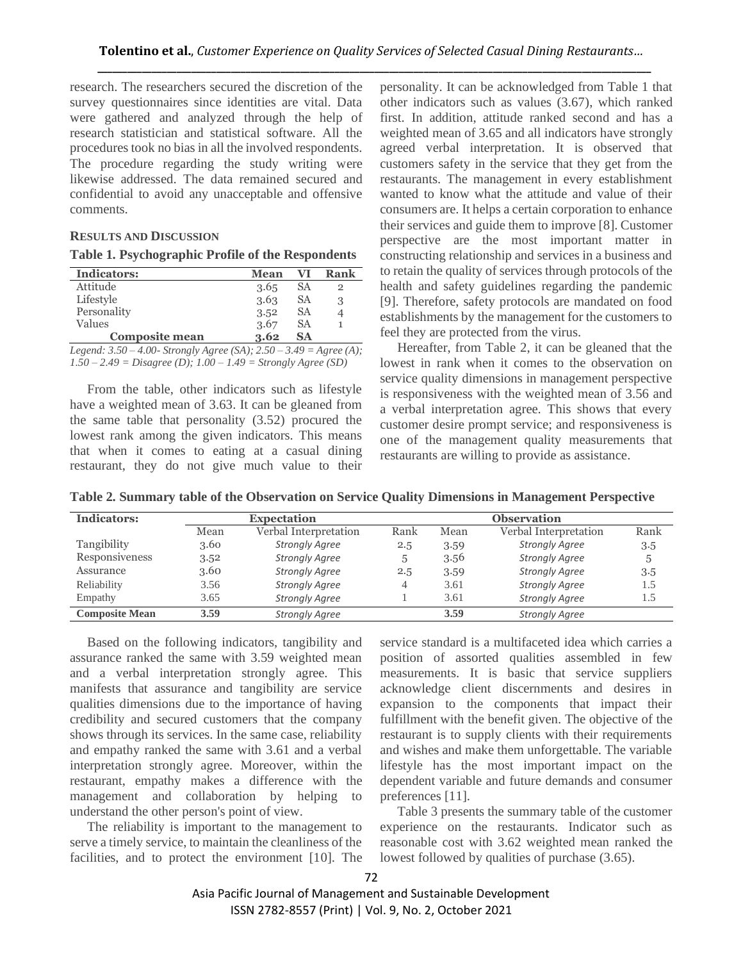research. The researchers secured the discretion of the survey questionnaires since identities are vital. Data were gathered and analyzed through the help of research statistician and statistical software. All the procedures took no bias in all the involved respondents. The procedure regarding the study writing were likewise addressed. The data remained secured and confidential to avoid any unacceptable and offensive comments.

## **RESULTS AND DISCUSSION**

### **Table 1. Psychographic Profile of the Respondents**

| <b>Indicators:</b>    | <b>Mean</b> | VI | Rank |
|-----------------------|-------------|----|------|
| Attitude              | 3.65        | SА |      |
| Lifestyle             | 3.63        | SА | 3    |
| Personality           | 3.52        | SА |      |
| Values                | 3.67        | SА |      |
| <b>Composite mean</b> | 3.62        | SА |      |

*Legend: 3.50 – 4.00- Strongly Agree (SA); 2.50 – 3.49 = Agree (A); 1.50 – 2.49 = Disagree (D); 1.00 – 1.49 = Strongly Agree (SD)*

From the table, other indicators such as lifestyle have a weighted mean of 3.63. It can be gleaned from the same table that personality (3.52) procured the lowest rank among the given indicators. This means that when it comes to eating at a casual dining restaurant, they do not give much value to their personality. It can be acknowledged from Table 1 that other indicators such as values (3.67), which ranked first. In addition, attitude ranked second and has a weighted mean of 3.65 and all indicators have strongly agreed verbal interpretation. It is observed that customers safety in the service that they get from the restaurants. The management in every establishment wanted to know what the attitude and value of their consumers are. It helps a certain corporation to enhance their services and guide them to improve [8]. Customer perspective are the most important matter in constructing relationship and services in a business and to retain the quality of services through protocols of the health and safety guidelines regarding the pandemic [9]. Therefore, safety protocols are mandated on food establishments by the management for the customers to feel they are protected from the virus.

Hereafter, from Table 2, it can be gleaned that the lowest in rank when it comes to the observation on service quality dimensions in management perspective is responsiveness with the weighted mean of 3.56 and a verbal interpretation agree. This shows that every customer desire prompt service; and responsiveness is one of the management quality measurements that restaurants are willing to provide as assistance.

| Indicators:           |      | <b>Observation</b>    |      |      |                       |      |
|-----------------------|------|-----------------------|------|------|-----------------------|------|
|                       | Mean | Verbal Interpretation | Rank | Mean | Verbal Interpretation | Rank |
| Tangibility           | 3.60 | <b>Strongly Agree</b> | 2.5  | 3.59 | <b>Strongly Agree</b> | 3.5  |
| Responsiveness        | 3.52 | <b>Strongly Agree</b> | 5    | 3.56 | <b>Strongly Agree</b> | 5    |
| Assurance             | 3.60 | <b>Strongly Agree</b> | 2.5  | 3.59 | <b>Strongly Agree</b> | 3.5  |
| Reliability           | 3.56 | <b>Strongly Agree</b> | 4    | 3.61 | <b>Strongly Agree</b> | 1.5  |
| Empathy               | 3.65 | <b>Strongly Agree</b> |      | 3.61 | <b>Strongly Agree</b> | 1.5  |
| <b>Composite Mean</b> | 3.59 | <b>Strongly Agree</b> |      | 3.59 | <b>Strongly Agree</b> |      |

**Table 2. Summary table of the Observation on Service Quality Dimensions in Management Perspective**

Based on the following indicators, tangibility and assurance ranked the same with 3.59 weighted mean and a verbal interpretation strongly agree. This manifests that assurance and tangibility are service qualities dimensions due to the importance of having credibility and secured customers that the company shows through its services. In the same case, reliability and empathy ranked the same with 3.61 and a verbal interpretation strongly agree. Moreover, within the restaurant, empathy makes a difference with the management and collaboration by helping to understand the other person's point of view.

The reliability is important to the management to serve a timely service, to maintain the cleanliness of the facilities, and to protect the environment [10]. The service standard is a multifaceted idea which carries a position of assorted qualities assembled in few measurements. It is basic that service suppliers acknowledge client discernments and desires in expansion to the components that impact their fulfillment with the benefit given. The objective of the restaurant is to supply clients with their requirements and wishes and make them unforgettable. The variable lifestyle has the most important impact on the dependent variable and future demands and consumer preferences [11].

Table 3 presents the summary table of the customer experience on the restaurants. Indicator such as reasonable cost with 3.62 weighted mean ranked the lowest followed by qualities of purchase (3.65).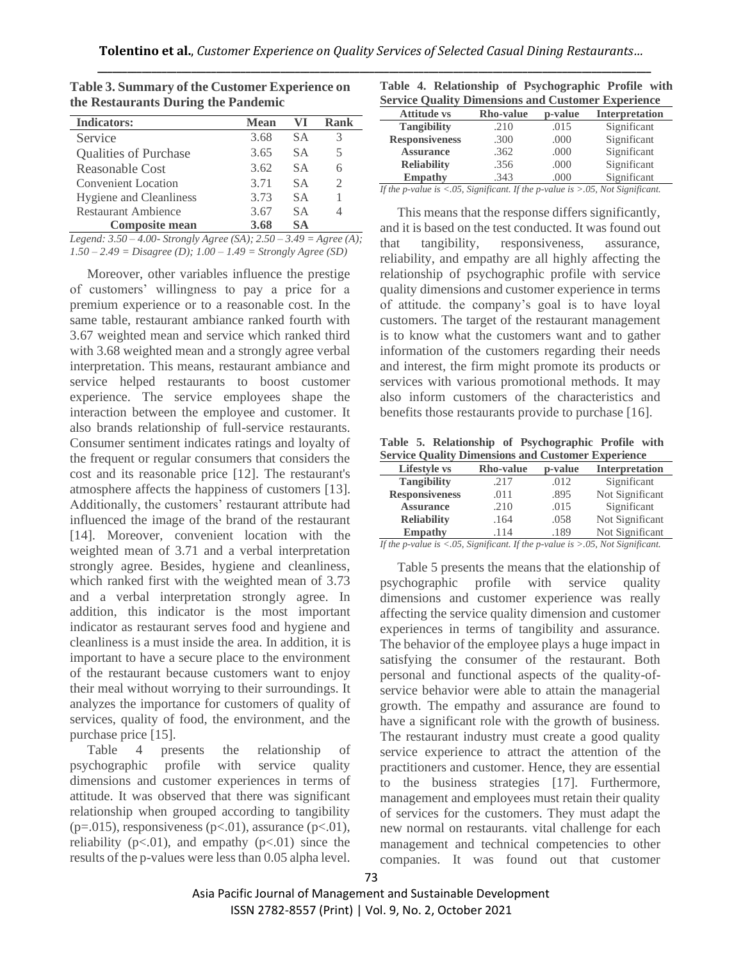| <b>Indicators:</b>             | <b>Mean</b> | VI        | Rank |
|--------------------------------|-------------|-----------|------|
| Service                        | 3.68        | SА        |      |
| <b>Qualities of Purchase</b>   | 3.65        | S A       | 5.   |
| Reasonable Cost                | 3.62        | S A       |      |
| <b>Convenient Location</b>     | 3.71        | S A       |      |
| <b>Hygiene and Cleanliness</b> | 3.73        | <b>SA</b> |      |
| <b>Restaurant Ambience</b>     | 3.67        | S A       |      |
| <b>Composite mean</b>          | 3.68        | SА        |      |

**Table 3. Summary of the Customer Experience on the Restaurants During the Pandemic** 

*Legend: 3.50 – 4.00- Strongly Agree (SA); 2.50 – 3.49 = Agree (A); 1.50 – 2.49 = Disagree (D); 1.00 – 1.49 = Strongly Agree (SD)*

Moreover, other variables influence the prestige of customers' willingness to pay a price for a premium experience or to a reasonable cost. In the same table, restaurant ambiance ranked fourth with 3.67 weighted mean and service which ranked third with 3.68 weighted mean and a strongly agree verbal interpretation. This means, restaurant ambiance and service helped restaurants to boost customer experience. The service employees shape the interaction between the employee and customer. It also brands relationship of full-service restaurants. Consumer sentiment indicates ratings and loyalty of the frequent or regular consumers that considers the cost and its reasonable price [12]. The restaurant's atmosphere affects the happiness of customers [13]. Additionally, the customers' restaurant attribute had influenced the image of the brand of the restaurant [14]. Moreover, convenient location with the weighted mean of 3.71 and a verbal interpretation strongly agree. Besides, hygiene and cleanliness, which ranked first with the weighted mean of 3.73 and a verbal interpretation strongly agree. In addition, this indicator is the most important indicator as restaurant serves food and hygiene and cleanliness is a must inside the area. In addition, it is important to have a secure place to the environment of the restaurant because customers want to enjoy their meal without worrying to their surroundings. It analyzes the importance for customers of quality of services, quality of food, the environment, and the purchase price [15].

Table 4 presents the relationship of psychographic profile with service quality dimensions and customer experiences in terms of attitude. It was observed that there was significant relationship when grouped according to tangibility  $(p=.015)$ , responsiveness  $(p<.01)$ , assurance  $(p<.01)$ , reliability ( $p<.01$ ), and empathy ( $p<.01$ ) since the results of the p-values were less than 0.05 alpha level.

|  |  | Table 4. Relationship of Psychographic Profile with       |  |
|--|--|-----------------------------------------------------------|--|
|  |  | <b>Service Quality Dimensions and Customer Experience</b> |  |

| $\cup$ u vice vuunty<br>D'intensions and Castomer Experience |                  |         |                       |  |  |  |
|--------------------------------------------------------------|------------------|---------|-----------------------|--|--|--|
| <b>Attitude vs</b>                                           | <b>Rho-value</b> | p-value | <b>Interpretation</b> |  |  |  |
| <b>Tangibility</b>                                           | .210             | .015    | Significant           |  |  |  |
| <b>Responsiveness</b>                                        | .300             | .000    | Significant           |  |  |  |
| <b>Assurance</b>                                             | .362             | .000    | Significant           |  |  |  |
| <b>Reliability</b>                                           | .356             | .000    | Significant           |  |  |  |
| <b>Empathy</b>                                               | .343             | .000    | Significant           |  |  |  |

*If the p-value is <.05, Significant. If the p-value is >.05, Not Significant.*

This means that the response differs significantly, and it is based on the test conducted. It was found out that tangibility, responsiveness, assurance, reliability, and empathy are all highly affecting the relationship of psychographic profile with service quality dimensions and customer experience in terms of attitude. the company's goal is to have loyal customers. The target of the restaurant management is to know what the customers want and to gather information of the customers regarding their needs and interest, the firm might promote its products or services with various promotional methods. It may also inform customers of the characteristics and benefits those restaurants provide to purchase [16].

**Table 5. Relationship of Psychographic Profile with Service Quality Dimensions and Customer Experience**

| <b>Lifestyle vs</b>   | <b>Rho-value</b> | p-value | Interpretation  |
|-----------------------|------------------|---------|-----------------|
| <b>Tangibility</b>    | .217             | .012    | Significant     |
| <b>Responsiveness</b> | .011             | .895    | Not Significant |
| <b>Assurance</b>      | .210             | .015    | Significant     |
| <b>Reliability</b>    | .164             | .058    | Not Significant |
| <b>Empathy</b>        | .114             | .189    | Not Significant |

*If the p-value is <.05, Significant. If the p-value is >.05, Not Significant.*

Table 5 presents the means that the elationship of psychographic profile with service quality dimensions and customer experience was really affecting the service quality dimension and customer experiences in terms of tangibility and assurance. The behavior of the employee plays a huge impact in satisfying the consumer of the restaurant. Both personal and functional aspects of the quality-ofservice behavior were able to attain the managerial growth. The empathy and assurance are found to have a significant role with the growth of business. The restaurant industry must create a good quality service experience to attract the attention of the practitioners and customer. Hence, they are essential to the business strategies [17]. Furthermore, management and employees must retain their quality of services for the customers. They must adapt the new normal on restaurants. vital challenge for each management and technical competencies to other companies. It was found out that customer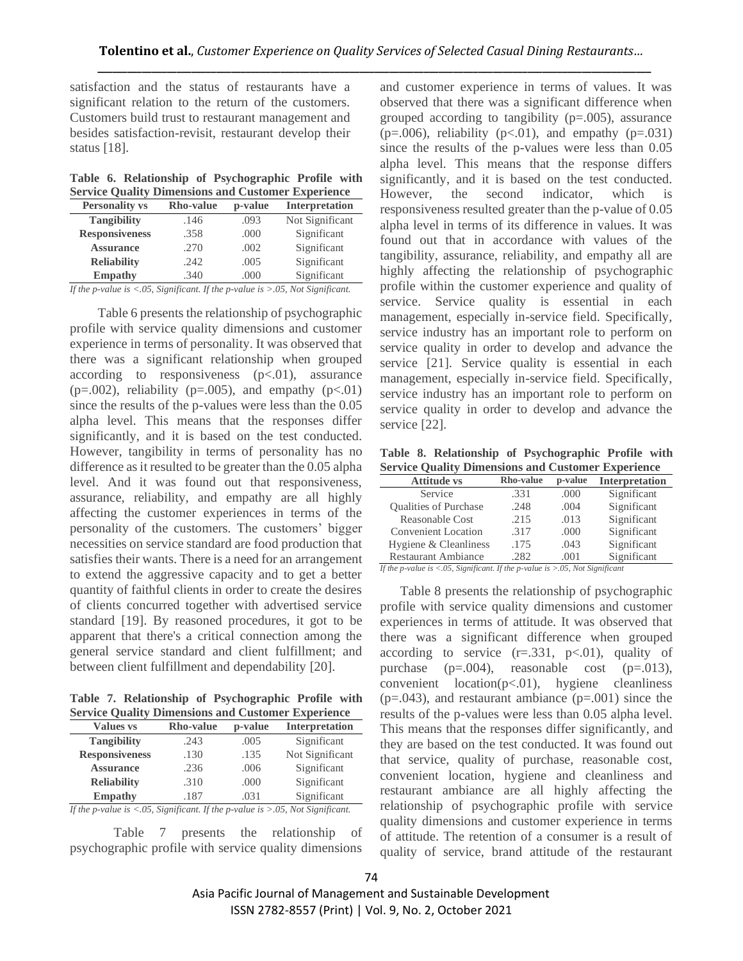satisfaction and the status of restaurants have a significant relation to the return of the customers. Customers build trust to restaurant management and besides satisfaction-revisit, restaurant develop their status [18].

**Table 6. Relationship of Psychographic Profile with Service Quality Dimensions and Customer Experience**

| <b>Personality vs</b> | <b>Rho-value</b> | p-value | Interpretation  |  |  |  |
|-----------------------|------------------|---------|-----------------|--|--|--|
| <b>Tangibility</b>    | .146             | .093    | Not Significant |  |  |  |
| <b>Responsiveness</b> | .358             | .000    | Significant     |  |  |  |
| <b>Assurance</b>      | .270             | .002    | Significant     |  |  |  |
| <b>Reliability</b>    | .242             | .005    | Significant     |  |  |  |
| <b>Empathy</b>        | .340             | .000    | Significant     |  |  |  |
|                       |                  |         |                 |  |  |  |

*If the p-value is <.05, Significant. If the p-value is >.05, Not Significant.*

Table 6 presents the relationship of psychographic profile with service quality dimensions and customer experience in terms of personality. It was observed that there was a significant relationship when grouped according to responsiveness  $(p<.01)$ , assurance  $(p=.002)$ , reliability ( $p=.005$ ), and empathy ( $p<.01$ ) since the results of the p-values were less than the 0.05 alpha level. This means that the responses differ significantly, and it is based on the test conducted. However, tangibility in terms of personality has no difference as it resulted to be greater than the 0.05 alpha level. And it was found out that responsiveness, assurance, reliability, and empathy are all highly affecting the customer experiences in terms of the personality of the customers. The customers' bigger necessities on service standard are food production that satisfies their wants. There is a need for an arrangement to extend the aggressive capacity and to get a better quantity of faithful clients in order to create the desires of clients concurred together with advertised service standard [19]. By reasoned procedures, it got to be apparent that there's a critical connection among the general service standard and client fulfillment; and between client fulfillment and dependability [20].

**Table 7. Relationship of Psychographic Profile with Service Quality Dimensions and Customer Experience**

| <b>Values vs</b>                                | <b>Rho-value</b> | p-value                                 | <b>Interpretation</b> |
|-------------------------------------------------|------------------|-----------------------------------------|-----------------------|
| <b>Tangibility</b>                              | .243             | .005                                    | Significant           |
| <b>Responsiveness</b>                           | .130             | .135                                    | Not Significant       |
| <b>Assurance</b>                                | .236             | .006                                    | Significant           |
| <b>Reliability</b>                              | .310             | .000                                    | Significant           |
| <b>Empathy</b>                                  | .187             | .031                                    | Significant           |
| the contract of the contract of the contract of |                  | the property of the control of the con- |                       |

*If the p-value is <.05, Significant. If the p-value is >.05, Not Significant.*

Table 7 presents the relationship of psychographic profile with service quality dimensions and customer experience in terms of values. It was observed that there was a significant difference when grouped according to tangibility  $(p=.005)$ , assurance  $(p=.006)$ , reliability  $(p<.01)$ , and empathy  $(p=.031)$ since the results of the p-values were less than 0.05 alpha level. This means that the response differs significantly, and it is based on the test conducted. However, the second indicator, which is responsiveness resulted greater than the p-value of 0.05 alpha level in terms of its difference in values. It was found out that in accordance with values of the tangibility, assurance, reliability, and empathy all are highly affecting the relationship of psychographic profile within the customer experience and quality of service. Service quality is essential in each management, especially in-service field. Specifically, service industry has an important role to perform on service quality in order to develop and advance the service [21]. Service quality is essential in each management, especially in-service field. Specifically, service industry has an important role to perform on service quality in order to develop and advance the service [22].

**Table 8. Relationship of Psychographic Profile with Service Quality Dimensions and Customer Experience**

| <b>Attitude vs</b>           | <b>Rho-value</b> | p-value | Interpretation |
|------------------------------|------------------|---------|----------------|
| Service                      | .331             | .000    | Significant    |
| <b>Oualities of Purchase</b> | .248             | .004    | Significant    |
| Reasonable Cost              | .215             | .013    | Significant    |
| <b>Convenient Location</b>   | .317             | .000    | Significant    |
| Hygiene & Cleanliness        | .175             | .043    | Significant    |
| <b>Restaurant Ambiance</b>   | .282             | .001    | Significant    |

*If the p-value is <.05, Significant. If the p-value is >.05, Not Significant*

 Table 8 presents the relationship of psychographic profile with service quality dimensions and customer experiences in terms of attitude. It was observed that there was a significant difference when grouped according to service  $(r=.331, p<.01)$ , quality of purchase (p=.004), reasonable cost (p=.013),  $convenient$   $location(p<.01)$ , hygiene cleanliness  $(p=.043)$ , and restaurant ambiance  $(p=.001)$  since the results of the p-values were less than 0.05 alpha level. This means that the responses differ significantly, and they are based on the test conducted. It was found out that service, quality of purchase, reasonable cost, convenient location, hygiene and cleanliness and restaurant ambiance are all highly affecting the relationship of psychographic profile with service quality dimensions and customer experience in terms of attitude. The retention of a consumer is a result of quality of service, brand attitude of the restaurant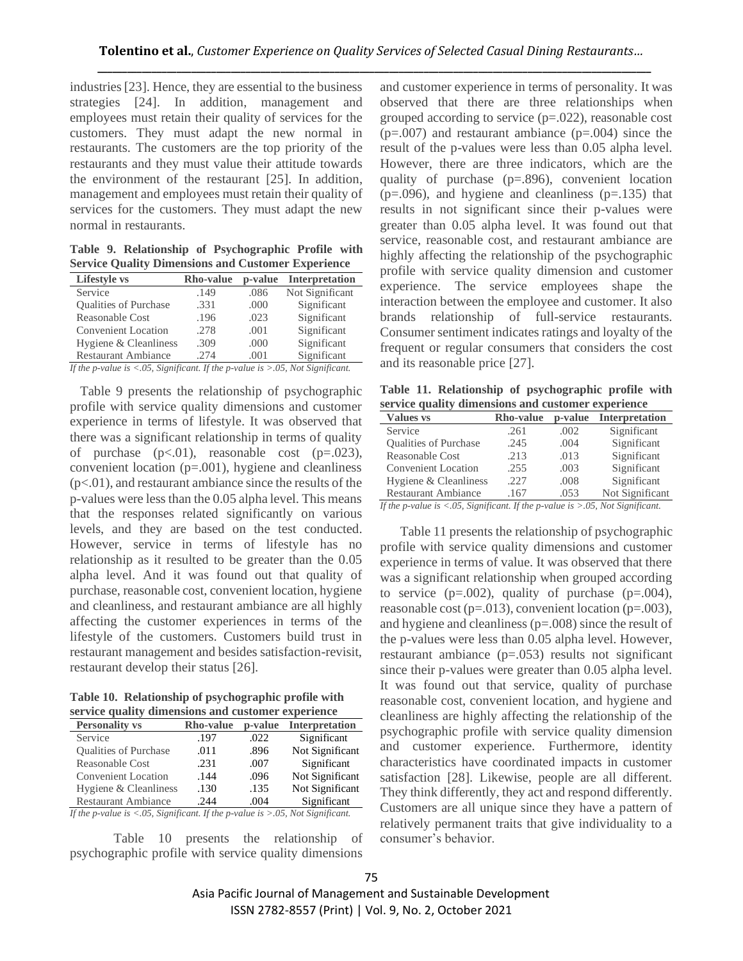industries [23]. Hence, they are essential to the business strategies [24]. In addition, management and employees must retain their quality of services for the customers. They must adapt the new normal in restaurants. The customers are the top priority of the restaurants and they must value their attitude towards the environment of the restaurant [25]. In addition, management and employees must retain their quality of services for the customers. They must adapt the new normal in restaurants.

**Table 9. Relationship of Psychographic Profile with Service Quality Dimensions and Customer Experience**

| <b>Rho-value</b> | p-value | Interpretation  |
|------------------|---------|-----------------|
| .149             | .086    | Not Significant |
| .331             | .000    | Significant     |
| .196             | .023    | Significant     |
| .278             | .001    | Significant     |
| .309             | .000    | Significant     |
| .274             | .001    | Significant     |
|                  |         |                 |

*If the p-value is <.05, Significant. If the p-value is >.05, Not Significant.*

 Table 9 presents the relationship of psychographic profile with service quality dimensions and customer experience in terms of lifestyle. It was observed that there was a significant relationship in terms of quality of purchase  $(p<.01)$ , reasonable cost  $(p=.023)$ , convenient location (p=.001), hygiene and cleanliness  $(p<.01)$ , and restaurant ambiance since the results of the p-values were less than the 0.05 alpha level. This means that the responses related significantly on various levels, and they are based on the test conducted. However, service in terms of lifestyle has no relationship as it resulted to be greater than the 0.05 alpha level. And it was found out that quality of purchase, reasonable cost, convenient location, hygiene and cleanliness, and restaurant ambiance are all highly affecting the customer experiences in terms of the lifestyle of the customers. Customers build trust in restaurant management and besides satisfaction-revisit, restaurant develop their status [26].

**Table 10. Relationship of psychographic profile with service quality dimensions and customer experience**

| $\overline{\mathcal{O}}$ . The state $\overline{\mathcal{O}}$<br><u>Gillicipione Girc cubechici chpcitchce</u> |                  |         |                                                             |  |  |  |
|----------------------------------------------------------------------------------------------------------------|------------------|---------|-------------------------------------------------------------|--|--|--|
| <b>Personality vs</b>                                                                                          | <b>Rho-value</b> | p-value | Interpretation                                              |  |  |  |
| Service                                                                                                        | .197             | .022    | Significant                                                 |  |  |  |
| <b>Oualities of Purchase</b>                                                                                   | .011             | .896    | Not Significant                                             |  |  |  |
| <b>Reasonable Cost</b>                                                                                         | .231             | .007    | Significant                                                 |  |  |  |
| <b>Convenient Location</b>                                                                                     | .144             | .096    | Not Significant                                             |  |  |  |
| Hygiene & Cleanliness                                                                                          | .130             | .135    | Not Significant                                             |  |  |  |
| <b>Restaurant Ambiance</b>                                                                                     | .244             | .004    | Significant                                                 |  |  |  |
| $\mathbf{r} \cdot \mathbf{r}$ $\mathbf{r} \cdot \mathbf{r}$ $\mathbf{r} \cdot \mathbf{r}$                      | $T^2$            |         | $\bigcap_{i=1}^n$ at $\bigcap_{i=1}^n$ is $\bigcap_{i=1}^n$ |  |  |  |

*If the p-value is <.05, Significant. If the p-value is >.05, Not Significant.*

Table 10 presents the relationship of psychographic profile with service quality dimensions and customer experience in terms of personality. It was observed that there are three relationships when grouped according to service  $(p=.022)$ , reasonable cost  $(p=.007)$  and restaurant ambiance  $(p=.004)$  since the result of the p-values were less than 0.05 alpha level. However, there are three indicators, which are the quality of purchase (p=.896), convenient location  $(p=.096)$ , and hygiene and cleanliness  $(p=.135)$  that results in not significant since their p-values were greater than 0.05 alpha level. It was found out that service, reasonable cost, and restaurant ambiance are highly affecting the relationship of the psychographic profile with service quality dimension and customer experience. The service employees shape the interaction between the employee and customer. It also brands relationship of full-service restaurants. Consumer sentiment indicates ratings and loyalty of the frequent or regular consumers that considers the cost and its reasonable price [27].

**Table 11. Relationship of psychographic profile with service quality dimensions and customer experience**

| <b>Values vs</b>                               | <b>Rho-value</b> | p-value       | Interpretation                 |
|------------------------------------------------|------------------|---------------|--------------------------------|
| Service                                        | .261             | .002          | Significant                    |
| <b>Oualities of Purchase</b>                   | .245             | .004          | Significant                    |
| Reasonable Cost                                | .213             | .013          | Significant                    |
| <b>Convenient Location</b>                     | .255             | .003          | Significant                    |
| Hygiene & Cleanliness                          | .227             | .008          | Significant                    |
| <b>Restaurant Ambiance</b>                     | .167             | .053          | Not Significant                |
| $\sim$ $\sim$<br>$\bullet$ $\bullet$ $\bullet$ | $\cdots$         | $\sim$ $\sim$ | $\wedge$ = $\cdots$ $\wedge$ + |

*If the p-value is <.05, Significant. If the p-value is >.05, Not Significant.*

 Table 11 presents the relationship of psychographic profile with service quality dimensions and customer experience in terms of value. It was observed that there was a significant relationship when grouped according to service  $(p=.002)$ , quality of purchase  $(p=.004)$ , reasonable cost  $(p=.013)$ , convenient location  $(p=.003)$ , and hygiene and cleanliness (p=.008) since the result of the p-values were less than 0.05 alpha level. However, restaurant ambiance (p=.053) results not significant since their p-values were greater than 0.05 alpha level. It was found out that service, quality of purchase reasonable cost, convenient location, and hygiene and cleanliness are highly affecting the relationship of the psychographic profile with service quality dimension and customer experience. Furthermore, identity characteristics have coordinated impacts in customer satisfaction [28]. Likewise, people are all different. They think differently, they act and respond differently. Customers are all unique since they have a pattern of relatively permanent traits that give individuality to a consumer's behavior.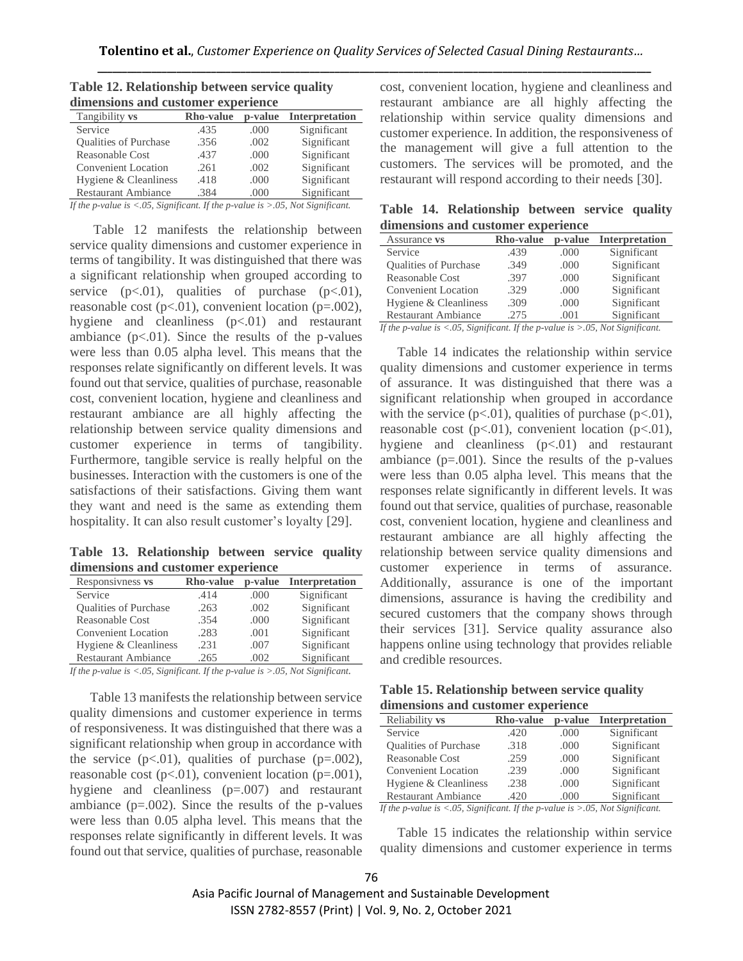| dimensions and customer experience |                  |         |                       |
|------------------------------------|------------------|---------|-----------------------|
| Tangibility vs                     | <b>Rho-value</b> | p-value | <b>Interpretation</b> |
| Service                            | .435             | .000    | Significant           |
| <b>Oualities of Purchase</b>       | .356             | .002    | Significant           |
| Reasonable Cost                    | .437             | .000    | Significant           |
| <b>Convenient Location</b>         | .261             | .002    | Significant           |
| Hygiene & Cleanliness              | .418             | .000    | Significant           |
| <b>Restaurant Ambiance</b>         | .384             | .000    | Significant           |
|                                    |                  |         |                       |

**Table 12. Relationship between service quality dimensions and customer experience**

*If the p-value is <.05, Significant. If the p-value is >.05, Not Significant.*

 Table 12 manifests the relationship between service quality dimensions and customer experience in terms of tangibility. It was distinguished that there was a significant relationship when grouped according to service  $(p<.01)$ , qualities of purchase  $(p<.01)$ , reasonable cost  $(p<.01)$ , convenient location  $(p=.002)$ , hygiene and cleanliness  $(p<.01)$  and restaurant ambiance  $(p<.01)$ . Since the results of the p-values were less than 0.05 alpha level. This means that the responses relate significantly on different levels. It was found out that service, qualities of purchase, reasonable cost, convenient location, hygiene and cleanliness and restaurant ambiance are all highly affecting the relationship between service quality dimensions and customer experience in terms of tangibility. Furthermore, tangible service is really helpful on the businesses. Interaction with the customers is one of the satisfactions of their satisfactions. Giving them want they want and need is the same as extending them hospitality. It can also result customer's loyalty [29].

**Table 13. Relationship between service quality dimensions and customer experience**

| Responsivness vs           | <b>Rho-value</b> | p-value | Interpretation |
|----------------------------|------------------|---------|----------------|
| Service                    | .414             | .000    | Significant    |
| Qualities of Purchase      | .263             | .002    | Significant    |
| <b>Reasonable Cost</b>     | .354             | .000    | Significant    |
| <b>Convenient Location</b> | .283             | .001    | Significant    |
| Hygiene & Cleanliness      | .231             | .007    | Significant    |
| <b>Restaurant Ambiance</b> | .265             | .002    | Significant    |

*If the p-value is <.05, Significant. If the p-value is >.05, Not Significant.*

 Table 13 manifests the relationship between service quality dimensions and customer experience in terms of responsiveness. It was distinguished that there was a significant relationship when group in accordance with the service  $(p<.01)$ , qualities of purchase  $(p=.002)$ , reasonable cost  $(p<.01)$ , convenient location  $(p=.001)$ , hygiene and cleanliness (p=.007) and restaurant ambiance  $(p=.002)$ . Since the results of the p-values were less than 0.05 alpha level. This means that the responses relate significantly in different levels. It was found out that service, qualities of purchase, reasonable

cost, convenient location, hygiene and cleanliness and restaurant ambiance are all highly affecting the relationship within service quality dimensions and customer experience. In addition, the responsiveness of the management will give a full attention to the customers. The services will be promoted, and the restaurant will respond according to their needs [30].

**Table 14. Relationship between service quality dimensions and customer experience**

| Assurance vs                                                             | <b>Rho-value</b> | p-value | <b>Interpretation</b>                     |
|--------------------------------------------------------------------------|------------------|---------|-------------------------------------------|
| Service                                                                  | .439             | .000    | Significant                               |
| <b>Oualities of Purchase</b>                                             | .349             | .000    | Significant                               |
| Reasonable Cost                                                          | .397             | .000    | Significant                               |
| <b>Convenient Location</b>                                               | .329             | .000    | Significant                               |
| Hygiene & Cleanliness                                                    | .309             | .000    | Significant                               |
| <b>Restaurant Ambiance</b>                                               | .275             | .001    | Significant                               |
| $\cdot$ $\sim$<br>$T \cap T$<br>$1 \cdot \cdot \cdot \cdot \cdot$ $\cap$ | $T^2$            |         | $\sim$ $\sim$ $\sim$ $\sim$ $\sim$ $\sim$ |

*If the p-value is <.05, Significant. If the p-value is >.05, Not Significant.*

Table 14 indicates the relationship within service quality dimensions and customer experience in terms of assurance. It was distinguished that there was a significant relationship when grouped in accordance with the service  $(p<.01)$ , qualities of purchase  $(p<.01)$ , reasonable cost  $(p<0.01)$ , convenient location  $(p<0.01)$ , hygiene and cleanliness  $(p<0.01)$  and restaurant ambiance  $(p=.001)$ . Since the results of the p-values were less than 0.05 alpha level. This means that the responses relate significantly in different levels. It was found out that service, qualities of purchase, reasonable cost, convenient location, hygiene and cleanliness and restaurant ambiance are all highly affecting the relationship between service quality dimensions and customer experience in terms of assurance. Additionally, assurance is one of the important dimensions, assurance is having the credibility and secured customers that the company shows through their services [31]. Service quality assurance also happens online using technology that provides reliable and credible resources.

| Table 15. Relationship between service quality |  |
|------------------------------------------------|--|
| dimensions and customer experience             |  |

| Reliability vs               | <b>Rho-value</b> | p-value | <b>Interpretation</b> |
|------------------------------|------------------|---------|-----------------------|
| Service                      | .420             | .000    | Significant           |
| <b>Oualities of Purchase</b> | .318             | .000    | Significant           |
| <b>Reasonable Cost</b>       | .259             | .000    | Significant           |
| <b>Convenient Location</b>   | .239             | .000    | Significant           |
| Hygiene & Cleanliness        | .238             | .000    | Significant           |
| <b>Restaurant Ambiance</b>   | .420             | .000    | Significant           |

*If the p-value is <.05, Significant. If the p-value is >.05, Not Significant.*

Table 15 indicates the relationship within service quality dimensions and customer experience in terms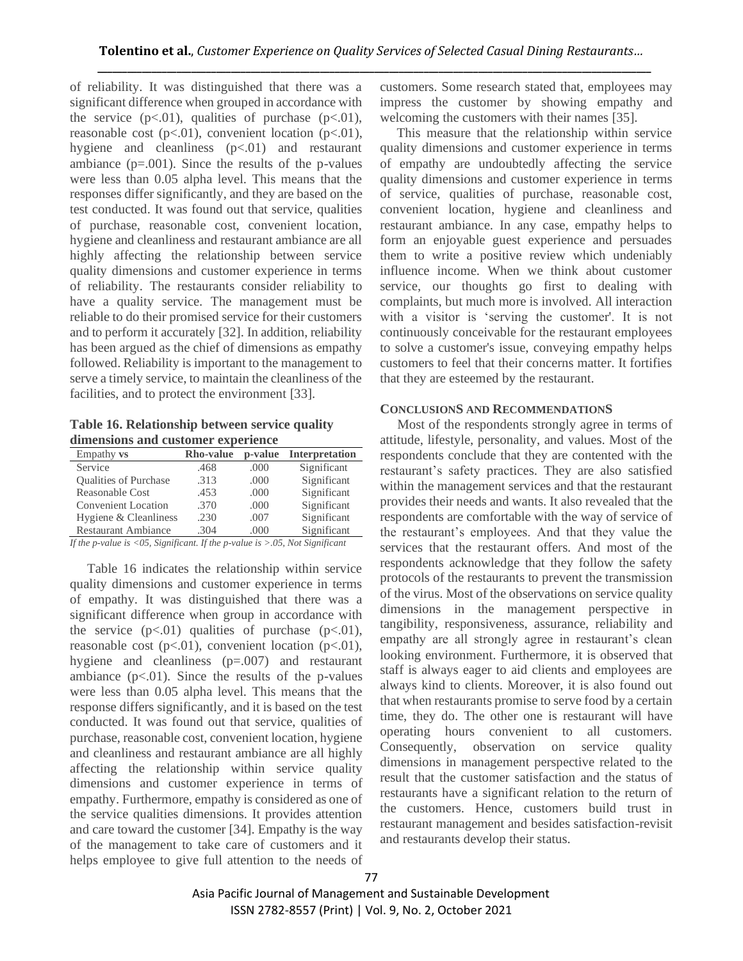of reliability. It was distinguished that there was a significant difference when grouped in accordance with the service  $(p<.01)$ , qualities of purchase  $(p<.01)$ , reasonable cost  $(p<.01)$ , convenient location  $(p<.01)$ , hygiene and cleanliness  $(p<.01)$  and restaurant ambiance  $(p=.001)$ . Since the results of the p-values were less than 0.05 alpha level. This means that the responses differ significantly, and they are based on the test conducted. It was found out that service, qualities of purchase, reasonable cost, convenient location, hygiene and cleanliness and restaurant ambiance are all highly affecting the relationship between service quality dimensions and customer experience in terms of reliability. The restaurants consider reliability to have a quality service. The management must be reliable to do their promised service for their customers and to perform it accurately [32]. In addition, reliability has been argued as the chief of dimensions as empathy followed. Reliability is important to the management to serve a timely service, to maintain the cleanliness of the facilities, and to protect the environment [33].

**Table 16. Relationship between service quality dimensions and customer experience**

| Empathy <b>vs</b>            | <b>Rho-value</b> | p-value | <b>Interpretation</b> |
|------------------------------|------------------|---------|-----------------------|
| Service                      | .468             | .000    | Significant           |
| <b>Oualities of Purchase</b> | .313             | .000    | Significant           |
| <b>Reasonable Cost</b>       | .453             | .000    | Significant           |
| <b>Convenient Location</b>   | .370             | .000    | Significant           |
| Hygiene & Cleanliness        | .230             | .007    | Significant           |
| <b>Restaurant Ambiance</b>   | .304             | (1)(1)  | Significant           |

*If the p-value is <05, Significant. If the p-value is >.05, Not Significant*

Table 16 indicates the relationship within service quality dimensions and customer experience in terms of empathy. It was distinguished that there was a significant difference when group in accordance with the service  $(p<.01)$  qualities of purchase  $(p<.01)$ , reasonable cost  $(p<.01)$ , convenient location  $(p<.01)$ , hygiene and cleanliness (p=.007) and restaurant ambiance  $(p<.01)$ . Since the results of the p-values were less than 0.05 alpha level. This means that the response differs significantly, and it is based on the test conducted. It was found out that service, qualities of purchase, reasonable cost, convenient location, hygiene and cleanliness and restaurant ambiance are all highly affecting the relationship within service quality dimensions and customer experience in terms of empathy. Furthermore, empathy is considered as one of the service qualities dimensions. It provides attention and care toward the customer [34]. Empathy is the way of the management to take care of customers and it helps employee to give full attention to the needs of

customers. Some research stated that, employees may impress the customer by showing empathy and welcoming the customers with their names [35].

 This measure that the relationship within service quality dimensions and customer experience in terms of empathy are undoubtedly affecting the service quality dimensions and customer experience in terms of service, qualities of purchase, reasonable cost, convenient location, hygiene and cleanliness and restaurant ambiance. In any case, empathy helps to form an enjoyable guest experience and persuades them to write a positive review which undeniably influence income. When we think about customer service, our thoughts go first to dealing with complaints, but much more is involved. All interaction with a visitor is 'serving the customer'. It is not continuously conceivable for the restaurant employees to solve a customer's issue, conveying empathy helps customers to feel that their concerns matter. It fortifies that they are esteemed by the restaurant.

#### **CONCLUSIONS AND RECOMMENDATIONS**

Most of the respondents strongly agree in terms of attitude, lifestyle, personality, and values. Most of the respondents conclude that they are contented with the restaurant's safety practices. They are also satisfied within the management services and that the restaurant provides their needs and wants. It also revealed that the respondents are comfortable with the way of service of the restaurant's employees. And that they value the services that the restaurant offers. And most of the respondents acknowledge that they follow the safety protocols of the restaurants to prevent the transmission of the virus. Most of the observations on service quality dimensions in the management perspective in tangibility, responsiveness, assurance, reliability and empathy are all strongly agree in restaurant's clean looking environment. Furthermore, it is observed that staff is always eager to aid clients and employees are always kind to clients. Moreover, it is also found out that when restaurants promise to serve food by a certain time, they do. The other one is restaurant will have operating hours convenient to all customers. Consequently, observation on service quality dimensions in management perspective related to the result that the customer satisfaction and the status of restaurants have a significant relation to the return of the customers. Hence, customers build trust in restaurant management and besides satisfaction-revisit and restaurants develop their status.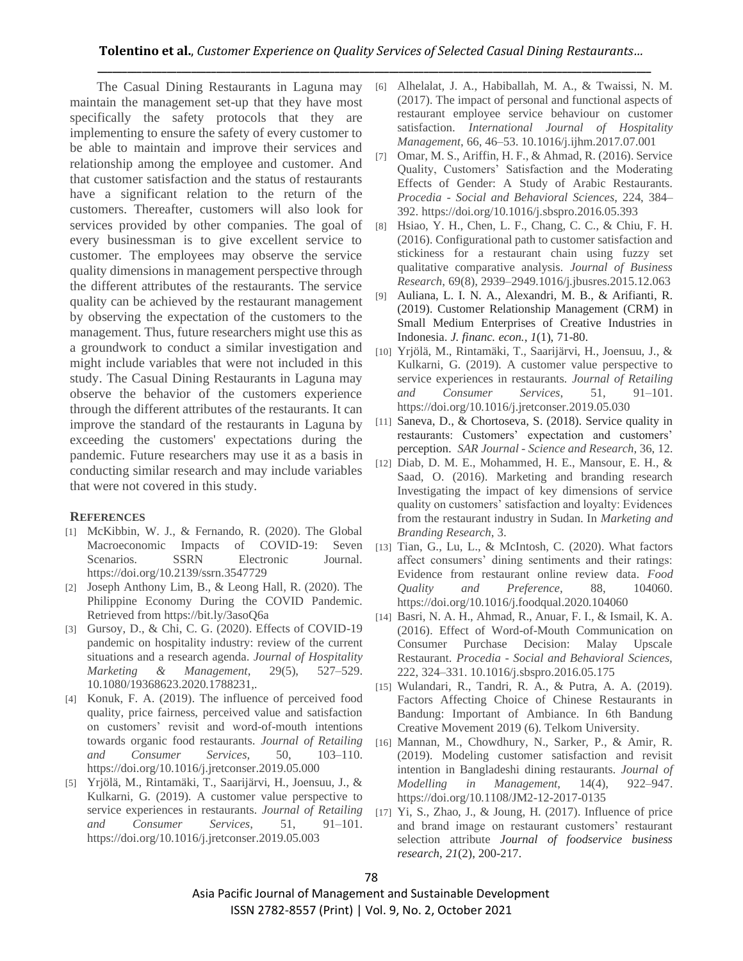The Casual Dining Restaurants in Laguna may maintain the management set-up that they have most specifically the safety protocols that they are implementing to ensure the safety of every customer to be able to maintain and improve their services and relationship among the employee and customer. And that customer satisfaction and the status of restaurants have a significant relation to the return of the customers. Thereafter, customers will also look for services provided by other companies. The goal of every businessman is to give excellent service to customer. The employees may observe the service quality dimensions in management perspective through the different attributes of the restaurants. The service quality can be achieved by the restaurant management by observing the expectation of the customers to the management. Thus, future researchers might use this as a groundwork to conduct a similar investigation and might include variables that were not included in this study. The Casual Dining Restaurants in Laguna may observe the behavior of the customers experience through the different attributes of the restaurants. It can improve the standard of the restaurants in Laguna by exceeding the customers' expectations during the pandemic. Future researchers may use it as a basis in conducting similar research and may include variables that were not covered in this study.

## **REFERENCES**

- [1] McKibbin, W. J., & Fernando, R. (2020). The Global Macroeconomic Impacts of COVID-19: Seven Scenarios. SSRN Electronic Journal. https://doi.org/10.2139/ssrn.3547729
- [2] Joseph Anthony Lim, B., & Leong Hall, R. (2020). The Philippine Economy During the COVID Pandemic. Retrieved from https://bit.ly/3asoQ6a
- [3] Gursoy, D., & Chi, C. G. (2020). Effects of COVID-19 pandemic on hospitality industry: review of the current situations and a research agenda. *Journal of Hospitality Marketing & Management*, 29(5), 527–529. 10.1080/19368623.2020.1788231,.
- [4] Konuk, F. A. (2019). The influence of perceived food quality, price fairness, perceived value and satisfaction on customers' revisit and word-of-mouth intentions towards organic food restaurants. *Journal of Retailing and Consumer Services,* 50, 103–110. https://doi.org/10.1016/j.jretconser.2019.05.000
- [5] Yrjölä, M., Rintamäki, T., Saarijärvi, H., Joensuu, J., & Kulkarni, G. (2019). A customer value perspective to service experiences in restaurants. *Journal of Retailing and Consumer Services*, 51, 91–101. https://doi.org/10.1016/j.jretconser.2019.05.003
- [6] Alhelalat, J. A., Habiballah, M. A., & Twaissi, N. M. (2017). The impact of personal and functional aspects of restaurant employee service behaviour on customer satisfaction. *International Journal of Hospitality Management*, 66, 46–53. 10.1016/j.ijhm.2017.07.001
- [7] Omar, M. S., Ariffin, H. F., & Ahmad, R. (2016). Service Quality, Customers' Satisfaction and the Moderating Effects of Gender: A Study of Arabic Restaurants. *Procedia - Social and Behavioral Sciences*, 224, 384– 392. https://doi.org/10.1016/j.sbspro.2016.05.393
- [8] Hsiao, Y. H., Chen, L. F., Chang, C. C., & Chiu, F. H. (2016). Configurational path to customer satisfaction and stickiness for a restaurant chain using fuzzy set qualitative comparative analysis. *Journal of Business Research*, 69(8), 2939–2949.1016/j.jbusres.2015.12.063
- [9] Auliana, L. I. N. A., Alexandri, M. B., & Arifianti, R. (2019). Customer Relationship Management (CRM) in Small Medium Enterprises of Creative Industries in Indonesia. *J. financ. econ.*, *1*(1), 71-80.
- [10] Yrjölä, M., Rintamäki, T., Saarijärvi, H., Joensuu, J., & Kulkarni, G. (2019). A customer value perspective to service experiences in restaurants. *Journal of Retailing and Consumer Services*, 51, 91–101. https://doi.org/10.1016/j.jretconser.2019.05.030
- [11] Saneva, D., & Chortoseva, S. (2018). Service quality in restaurants: Customers' expectation and customers' perception. *SAR Journal - Science and Research*, 36, 12.
- [12] Diab, D. M. E., Mohammed, H. E., Mansour, E. H., & Saad, O. (2016). Marketing and branding research Investigating the impact of key dimensions of service quality on customers' satisfaction and loyalty: Evidences from the restaurant industry in Sudan. In *Marketing and Branding Research*, 3.
- [13] Tian, G., Lu, L., & McIntosh, C. (2020). What factors affect consumers' dining sentiments and their ratings: Evidence from restaurant online review data. *Food Quality and Preference*, 88, 104060. https://doi.org/10.1016/j.foodqual.2020.104060
- [14] Basri, N. A. H., Ahmad, R., Anuar, F. I., & Ismail, K. A. (2016). Effect of Word-of-Mouth Communication on Consumer Purchase Decision: Malay Upscale Restaurant. *Procedia - Social and Behavioral Sciences,* 222, 324–331. 10.1016/j.sbspro.2016.05.175
- [15] Wulandari, R., Tandri, R. A., & Putra, A. A. (2019). Factors Affecting Choice of Chinese Restaurants in Bandung: Important of Ambiance. In 6th Bandung Creative Movement 2019 (6). Telkom University.
- [16] Mannan, M., Chowdhury, N., Sarker, P., & Amir, R. (2019). Modeling customer satisfaction and revisit intention in Bangladeshi dining restaurants. *Journal of Modelling in Management*, 14(4), 922–947. https://doi.org/10.1108/JM2-12-2017-0135
- [17] Yi, S., Zhao, J., & Joung, H. (2017). Influence of price and brand image on restaurant customers' restaurant selection attribute *Journal of foodservice business research*, *21*(2), 200-217.